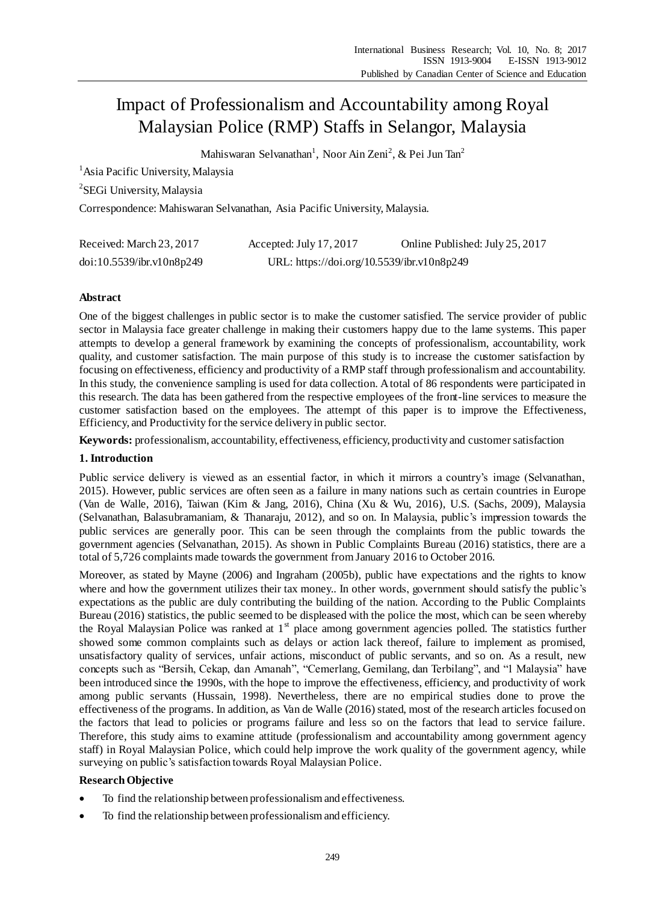# Impact of Professionalism and Accountability among Royal Malaysian Police (RMP) Staffs in Selangor, Malaysia

Mahiswaran Selvanathan<sup>1</sup>, Noor Ain Zeni<sup>2</sup>, & Pei Jun Tan<sup>2</sup>

<sup>1</sup> Asia Pacific University, Malaysia

<sup>2</sup>SEGi University, Malaysia

Correspondence: Mahiswaran Selvanathan, Asia Pacific University, Malaysia.

| Received: March 23, 2017  | Accepted: July 17, 2017                    | Online Published: July 25, 2017 |
|---------------------------|--------------------------------------------|---------------------------------|
| doi:10.5539/ibr.v10n8p249 | URL: https://doi.org/10.5539/ibr.v10n8p249 |                                 |

# **Abstract**

One of the biggest challenges in public sector is to make the customer satisfied. The service provider of public sector in Malaysia face greater challenge in making their customers happy due to the lame systems. This paper attempts to develop a general framework by examining the concepts of professionalism, accountability, work quality, and customer satisfaction. The main purpose of this study is to increase the customer satisfaction by focusing on effectiveness, efficiency and productivity of a RMP staff through professionalism and accountability. In this study, the convenience sampling is used for data collection. A total of 86 respondents were participated in this research. The data has been gathered from the respective employees of the front-line services to measure the customer satisfaction based on the employees. The attempt of this paper is to improve the Effectiveness, Efficiency, and Productivity for the service delivery in public sector.

**Keywords:** professionalism, accountability, effectiveness, efficiency, productivity and customer satisfaction

# **1. Introduction**

Public service delivery is viewed as an essential factor, in which it mirrors a country's image (Selvanathan, 2015). However, public services are often seen as a failure in many nations such as certain countries in Europe (Van de Walle, 2016), Taiwan (Kim & Jang, 2016), China (Xu & Wu, 2016), U.S. (Sachs, 2009), Malaysia (Selvanathan, Balasubramaniam, & Thanaraju, 2012), and so on. In Malaysia, public's impression towards the public services are generally poor. This can be seen through the complaints from the public towards the government agencies (Selvanathan, 2015). As shown in Public Complaints Bureau (2016) statistics, there are a total of 5,726 complaints made towards the government from January 2016 to October 2016.

Moreover, as stated by Mayne (2006) and Ingraham (2005b), public have expectations and the rights to know where and how the government utilizes their tax money.. In other words, government should satisfy the public's expectations as the public are duly contributing the building of the nation. According to the Public Complaints Bureau (2016) statistics, the public seemed to be displeased with the police the most, which can be seen whereby the Royal Malaysian Police was ranked at  $1<sup>st</sup>$  place among government agencies polled. The statistics further showed some common complaints such as delays or action lack thereof, failure to implement as promised, unsatisfactory quality of services, unfair actions, misconduct of public servants, and so on. As a result, new concepts such as "Bersih, Cekap, dan Amanah", "Cemerlang, Gemilang, dan Terbilang", and "1 Malaysia" have been introduced since the 1990s, with the hope to improve the effectiveness, efficiency, and productivity of work among public servants (Hussain, 1998). Nevertheless, there are no empirical studies done to prove the effectiveness of the programs. In addition, as Van de Walle (2016) stated, most of the research articles focused on the factors that lead to policies or programs failure and less so on the factors that lead to service failure. Therefore, this study aims to examine attitude (professionalism and accountability among government agency staff) in Royal Malaysian Police, which could help improve the work quality of the government agency, while surveying on public's satisfaction towards Royal Malaysian Police.

# **Research Objective**

- To find the relationship between professionalism and effectiveness.
- To find the relationship between professionalism and efficiency.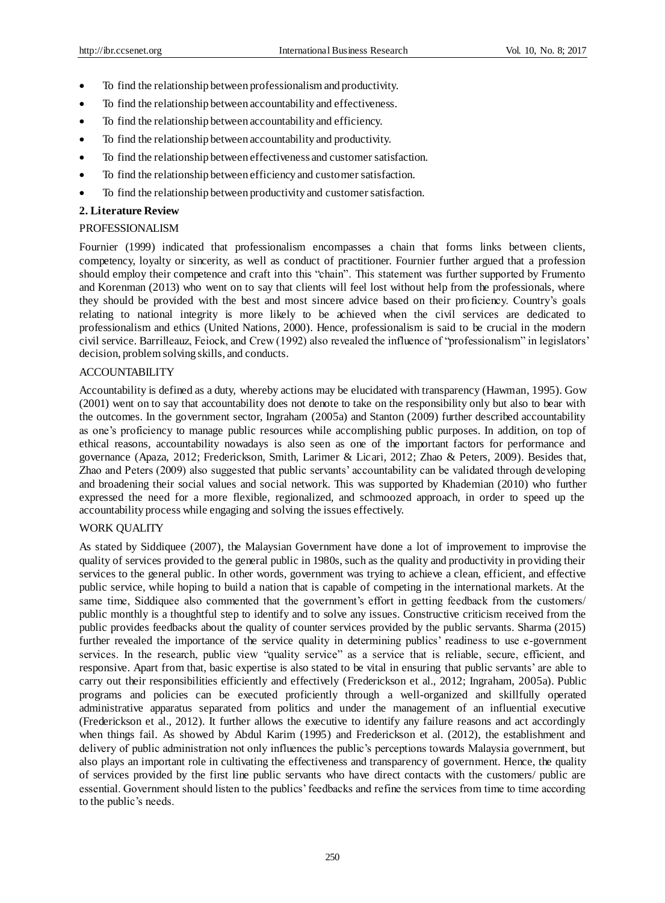- To find the relationship between professionalism and productivity.
- To find the relationship between accountability and effectiveness.
- To find the relationship between accountability and efficiency.
- To find the relationship between accountability and productivity.
- To find the relationship between effectiveness and customer satisfaction.
- To find the relationship between efficiency and customer satisfaction.
- To find the relationship between productivity and customer satisfaction.

# **2. Literature Review**

# PROFESSIONALISM

Fournier (1999) indicated that professionalism encompasses a chain that forms links between clients, competency, loyalty or sincerity, as well as conduct of practitioner. Fournier further argued that a profession should employ their competence and craft into this "chain". This statement was further supported by Frumento and Korenman (2013) who went on to say that clients will feel lost without help from the professionals, where they should be provided with the best and most sincere advice based on their proficiency. Country's goals relating to national integrity is more likely to be achieved when the civil services are dedicated to professionalism and ethics (United Nations, 2000). Hence, professionalism is said to be crucial in the modern civil service. Barrilleauz, Feiock, and Crew (1992) also revealed the influence of "professionalism" in legislators' decision, problem solving skills, and conducts.

# ACCOUNTABILITY

Accountability is defined as a duty, whereby actions may be elucidated with transparency (Hawman, 1995). Gow (2001) went on to say that accountability does not denote to take on the responsibility only but also to bear with the outcomes. In the government sector, Ingraham (2005a) and Stanton (2009) further described accountability as one's proficiency to manage public resources while accomplishing public purposes. In addition, on top of ethical reasons, accountability nowadays is also seen as one of the important factors for performance and governance (Apaza, 2012; Frederickson, Smith, Larimer & Licari, 2012; Zhao & Peters, 2009). Besides that, Zhao and Peters (2009) also suggested that public servants' accountability can be validated through developing and broadening their social values and social network. This was supported by Khademian (2010) who further expressed the need for a more flexible, regionalized, and schmoozed approach, in order to speed up the accountability process while engaging and solving the issues effectively.

## WORK QUALITY

As stated by Siddiquee (2007), the Malaysian Government have done a lot of improvement to improvise the quality of services provided to the general public in 1980s, such as the quality and productivity in providing their services to the general public. In other words, government was trying to achieve a clean, efficient, and effective public service, while hoping to build a nation that is capable of competing in the international markets. At the same time, Siddiquee also commented that the government's effort in getting feedback from the customers/ public monthly is a thoughtful step to identify and to solve any issues. Constructive criticism received from the public provides feedbacks about the quality of counter services provided by the public servants. Sharma (2015) further revealed the importance of the service quality in determining publics' readiness to use e-government services. In the research, public view "quality service" as a service that is reliable, secure, efficient, and responsive. Apart from that, basic expertise is also stated to be vital in ensuring that public servants' are able to carry out their responsibilities efficiently and effectively (Frederickson et al., 2012; Ingraham, 2005a). Public programs and policies can be executed proficiently through a well-organized and skillfully operated administrative apparatus separated from politics and under the management of an influential executive (Frederickson et al., 2012). It further allows the executive to identify any failure reasons and act accordingly when things fail. As showed by Abdul Karim (1995) and Frederickson et al. (2012), the establishment and delivery of public administration not only influences the public's perceptions towards Malaysia government, but also plays an important role in cultivating the effectiveness and transparency of government. Hence, the quality of services provided by the first line public servants who have direct contacts with the customers/ public are essential. Government should listen to the publics' feedbacks and refine the services from time to time according to the public's needs.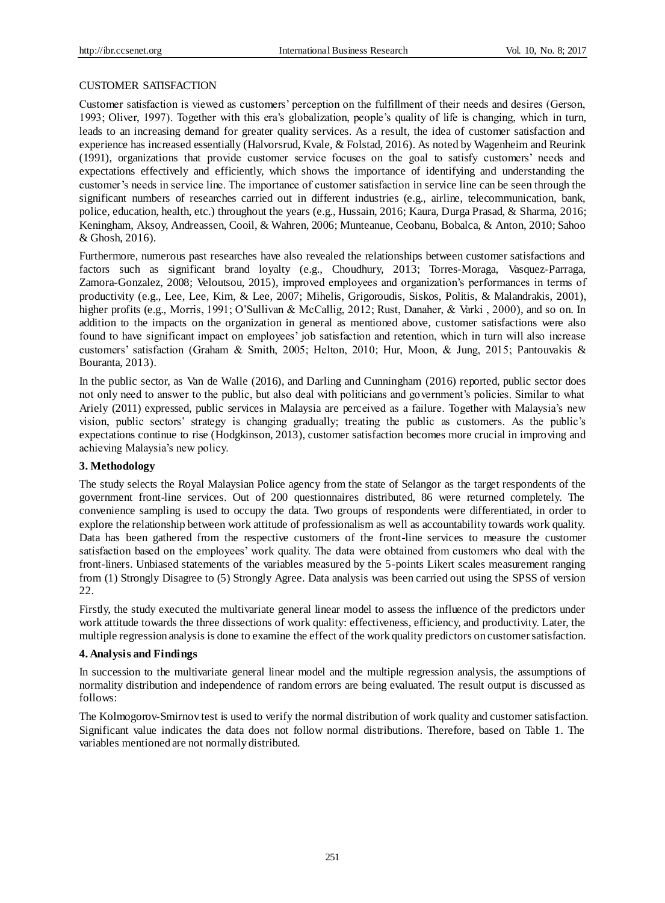### CUSTOMER SATISFACTION

Customer satisfaction is viewed as customers' perception on the fulfillment of their needs and desires (Gerson, 1993; Oliver, 1997). Together with this era's globalization, people's quality of life is changing, which in turn, leads to an increasing demand for greater quality services. As a result, the idea of customer satisfaction and experience has increased essentially (Halvorsrud, Kvale, & Folstad, 2016). As noted by Wagenheim and Reurink (1991), organizations that provide customer service focuses on the goal to satisfy customers' needs and expectations effectively and efficiently, which shows the importance of identifying and understanding the customer's needs in service line. The importance of customer satisfaction in service line can be seen through the significant numbers of researches carried out in different industries (e.g., airline, telecommunication, bank, police, education, health, etc.) throughout the years (e.g., Hussain, 2016; Kaura, Durga Prasad, & Sharma, 2016; Keningham, Aksoy, Andreassen, Cooil, & Wahren, 2006; Munteanue, Ceobanu, Bobalca, & Anton, 2010; Sahoo & Ghosh, 2016).

Furthermore, numerous past researches have also revealed the relationships between customer satisfactions and factors such as significant brand loyalty (e.g., Choudhury, 2013; Torres-Moraga, Vasquez-Parraga, Zamora-Gonzalez, 2008; Veloutsou, 2015), improved employees and organization's performances in terms of productivity (e.g., Lee, Lee, Kim, & Lee, 2007; Mihelis, Grigoroudis, Siskos, Politis, & Malandrakis, 2001), higher profits (e.g., Morris, 1991; O'Sullivan & McCallig, 2012; Rust, Danaher, & Varki , 2000), and so on. In addition to the impacts on the organization in general as mentioned above, customer satisfactions were also found to have significant impact on employees' job satisfaction and retention, which in turn will also increase customers' satisfaction (Graham & Smith, 2005; Helton, 2010; Hur, Moon, & Jung, 2015; Pantouvakis & Bouranta, 2013).

In the public sector, as Van de Walle (2016), and Darling and Cunningham (2016) reported, public sector does not only need to answer to the public, but also deal with politicians and government's policies. Similar to what Ariely (2011) expressed, public services in Malaysia are perceived as a failure. Together with Malaysia's new vision, public sectors' strategy is changing gradually; treating the public as customers. As the public's expectations continue to rise (Hodgkinson, 2013), customer satisfaction becomes more crucial in improving and achieving Malaysia's new policy.

## **3. Methodology**

The study selects the Royal Malaysian Police agency from the state of Selangor as the target respondents of the government front-line services. Out of 200 questionnaires distributed, 86 were returned completely. The convenience sampling is used to occupy the data. Two groups of respondents were differentiated, in order to explore the relationship between work attitude of professionalism as well as accountability towards work quality. Data has been gathered from the respective customers of the front-line services to measure the customer satisfaction based on the employees' work quality. The data were obtained from customers who deal with the front-liners. Unbiased statements of the variables measured by the 5-points Likert scales measurement ranging from (1) Strongly Disagree to (5) Strongly Agree. Data analysis was been carried out using the SPSS of version 22.

Firstly, the study executed the multivariate general linear model to assess the influence of the predictors under work attitude towards the three dissections of work quality: effectiveness, efficiency, and productivity. Later, the multiple regression analysis is done to examine the effect of the work quality predictors on customer satisfaction.

## **4. Analysis and Findings**

In succession to the multivariate general linear model and the multiple regression analysis, the assumptions of normality distribution and independence of random errors are being evaluated. The result output is discussed as follows:

The Kolmogorov-Smirnov test is used to verify the normal distribution of work quality and customer satisfaction. Significant value indicates the data does not follow normal distributions. Therefore, based on Table 1. The variables mentioned are not normally distributed.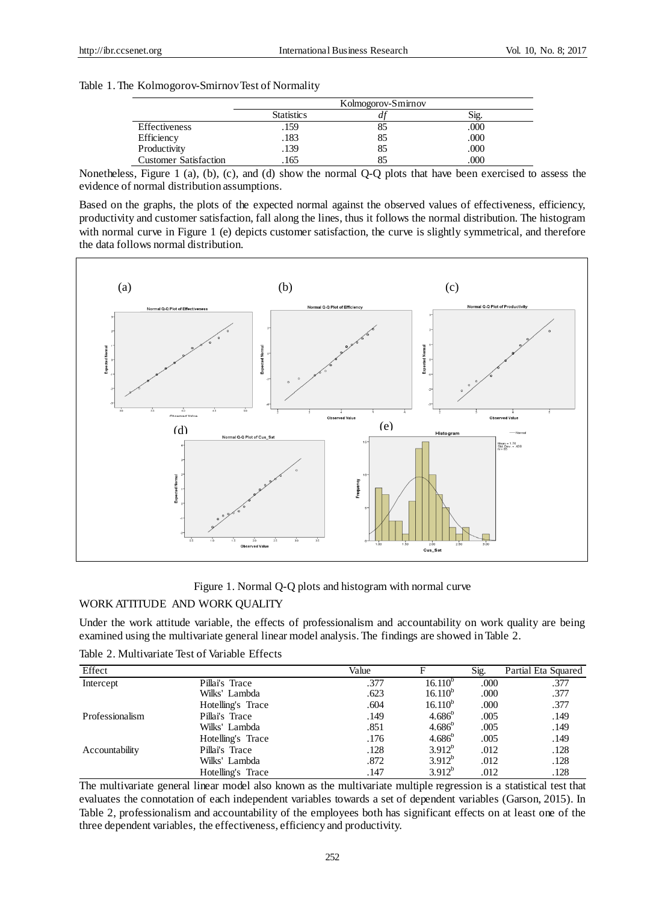## Table 1. The Kolmogorov-Smirnov Test of Normality

|                              | Kolmogorov-Smirnov |       |         |  |
|------------------------------|--------------------|-------|---------|--|
|                              | <b>Statistics</b>  | $\mu$ | $S12$ . |  |
| Effectiveness                | .159               | 85    | .000    |  |
| Efficiency                   | .183               | 85    | .000    |  |
| Productivity                 | .139               | 85    | .000    |  |
| <b>Customer Satisfaction</b> | 165                | 85    | .000    |  |

Nonetheless, Figure 1 (a), (b), (c), and (d) show the normal Q-Q plots that have been exercised to assess the evidence of normal distribution assumptions.

Based on the graphs, the plots of the expected normal against the observed values of effectiveness, efficiency, productivity and customer satisfaction, fall along the lines, thus it follows the normal distribution. The histogram with normal curve in Figure 1 (e) depicts customer satisfaction, the curve is slightly symmetrical, and therefore the data follows normal distribution.



Figure 1. Normal Q-Q plots and histogram with normal curve

## WORK ATTITUDE AND WORK QUALITY

Under the work attitude variable, the effects of professionalism and accountability on work quality are being examined using the multivariate general linear model analysis. The findings are showed in Table 2.

Table 2. Multivariate Test of Variable Effects

| Effect          |                   | Value | F               | Sig. | Partial Eta Squared |
|-----------------|-------------------|-------|-----------------|------|---------------------|
| Intercept       | Pillai's Trace    | .377  | $16.110^{p}$    | .000 | .377                |
|                 | Wilks' Lambda     | .623  | $16.110^{b}$    | .000 | .377                |
|                 | Hotelling's Trace | .604  | $16.110^{b}$    | .000 | .377                |
| Professionalism | Pillai's Trace    | .149  | $4.686^{b}$     | .005 | .149                |
|                 | Wilks' Lambda     | .851  | $4.686^{\circ}$ | .005 | .149                |
|                 | Hotelling's Trace | .176  | $4.686^{b}$     | .005 | .149                |
| Accountability  | Pillai's Trace    | .128  | $3.912^{b}$     | .012 | .128                |
|                 | Wilks' Lambda     | .872  | $3.912^{b}$     | .012 | .128                |
|                 | Hotelling's Trace | .147  | $3.912^{b}$     | .012 | .128                |

The multivariate general linear model also known as the multivariate multiple regression is a statistical test that evaluates the connotation of each independent variables towards a set of dependent variables (Garson, 2015). In Table 2, professionalism and accountability of the employees both has significant effects on at least one of the three dependent variables, the effectiveness, efficiency and productivity.

252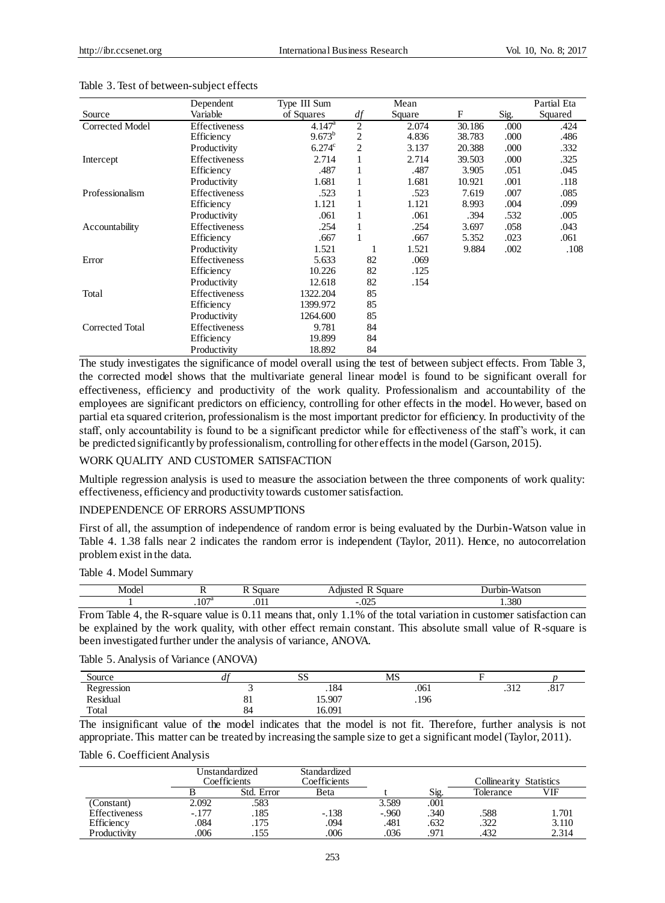|                 | Dependent            | Type III Sum    |                | Mean   |        |      | Partial Eta |
|-----------------|----------------------|-----------------|----------------|--------|--------|------|-------------|
| Source          | Variable             | of Squares      | df             | Square | F      | Sig. | Squared     |
| Corrected Model | Effectiveness        | $4.147^{\rm a}$ | 2              | 2.074  | 30.186 | .000 | .424        |
|                 | Efficiency           | $9.673^{b}$     | $\overline{2}$ | 4.836  | 38.783 | .000 | .486        |
|                 | Productivity         | $6.274^{\circ}$ | $\overline{2}$ | 3.137  | 20.388 | .000 | .332        |
| Intercept       | <b>Effectiveness</b> | 2.714           |                | 2.714  | 39.503 | .000 | .325        |
|                 | Efficiency           | .487            |                | .487   | 3.905  | .051 | .045        |
|                 | Productivity         | 1.681           |                | 1.681  | 10.921 | .001 | .118        |
| Professionalism | <b>Effectiveness</b> | .523            |                | .523   | 7.619  | .007 | .085        |
|                 | Efficiency           | 1.121           |                | 1.121  | 8.993  | .004 | .099        |
|                 | Productivity         | .061            |                | .061   | .394   | .532 | .005        |
| Accountability  | <b>Effectiveness</b> | .254            |                | .254   | 3.697  | .058 | .043        |
|                 | Efficiency           | .667            |                | .667   | 5.352  | .023 | .061        |
|                 | Productivity         | 1.521           |                | 1.521  | 9.884  | .002 | .108        |
| Error           | <b>Effectiveness</b> | 5.633           | 82             | .069   |        |      |             |
|                 | Efficiency           | 10.226          | 82             | .125   |        |      |             |
|                 | Productivity         | 12.618          | 82             | .154   |        |      |             |
| Total           | Effectiveness        | 1322.204        | 85             |        |        |      |             |
|                 | Efficiency           | 1399.972        | 85             |        |        |      |             |
|                 | Productivity         | 1264.600        | 85             |        |        |      |             |
| Corrected Total | <b>Effectiveness</b> | 9.781           | 84             |        |        |      |             |
|                 | Efficiency           | 19.899          | 84             |        |        |      |             |
|                 | Productivity         | 18.892          | 84             |        |        |      |             |

#### Table 3. Test of between-subject effects

The study investigates the significance of model overall using the test of between subject effects. From Table 3, the corrected model shows that the multivariate general linear model is found to be significant overall for effectiveness, efficiency and productivity of the work quality. Professionalism and accountability of the employees are significant predictors on efficiency, controlling for other effects in the model. However, based on partial eta squared criterion, professionalism is the most important predictor for efficiency. In productivity of the staff, only accountability is found to be a significant predictor while for effectiveness of the staff's work, it can be predicted significantly by professionalism, controlling for other effects in the model (Garson, 2015).

## WORK QUALITY AND CUSTOMER SATISFACTION

Multiple regression analysis is used to measure the association between the three components of work quality: effectiveness, efficiency and productivity towards customer satisfaction.

## INDEPENDENCE OF ERRORS ASSUMPTIONS

First of all, the assumption of independence of random error is being evaluated by the Durbin-Watson value in Table 4. 1.38 falls near 2 indicates the random error is independent (Taylor, 2011). Hence, no autocorrelation problem exist in the data.

#### Table 4. Model Summary

| Mode |                   | .    |        | - 1117<br>$\ddotsc$<br>$\sim$<br>,,<br>SOL |
|------|-------------------|------|--------|--------------------------------------------|
|      | $\sim$<br>. 1 U Z | $-1$ | $\sim$ | 380                                        |

From Table 4, the R-square value is 0.11 means that, only 1.1% of the total variation in customer satisfaction can be explained by the work quality, with other effect remain constant. This absolute small value of R-square is been investigated further under the analysis of variance, ANOVA.

## Table 5. Analysis of Variance (ANOVA)

| Source     | . .      | $\sim$<br>טט | MS   |             |      |
|------------|----------|--------------|------|-------------|------|
| Regression |          | .184         | .061 | 212<br>∠1د. | .817 |
| Residual   | c,<br>ОI | 15.907       | .196 |             |      |
| Total      | 84       | 16.091       |      |             |      |

The insignificant value of the model indicates that the model is not fit. Therefore, further analysis is not appropriate. This matter can be treated by increasing the sample size to get a significant model (Taylor, 2011).

## Table 6. Coefficient Analysis

|               | Jnstandardized<br>Coefficients |            | Standardized<br>Coefficients |         |      | Collinearity | <b>Statistics</b> |
|---------------|--------------------------------|------------|------------------------------|---------|------|--------------|-------------------|
|               |                                | Std. Error | Beta                         |         | Sig. | Tolerance    | VIF               |
| (Constant)    | 2.092                          | .583       |                              | 3.589   | .001 |              |                   |
| Effectiveness | $-.177$                        | .185       | $-.138$                      | $-.960$ | .340 | .588         | 1.701             |
| Efficiency    | .084                           | .175       | .094                         | .481    | .632 | .322         | 3.110             |
| Productivity  | 006                            | .155       | 006                          | .036    | .971 | .432         | 2.314             |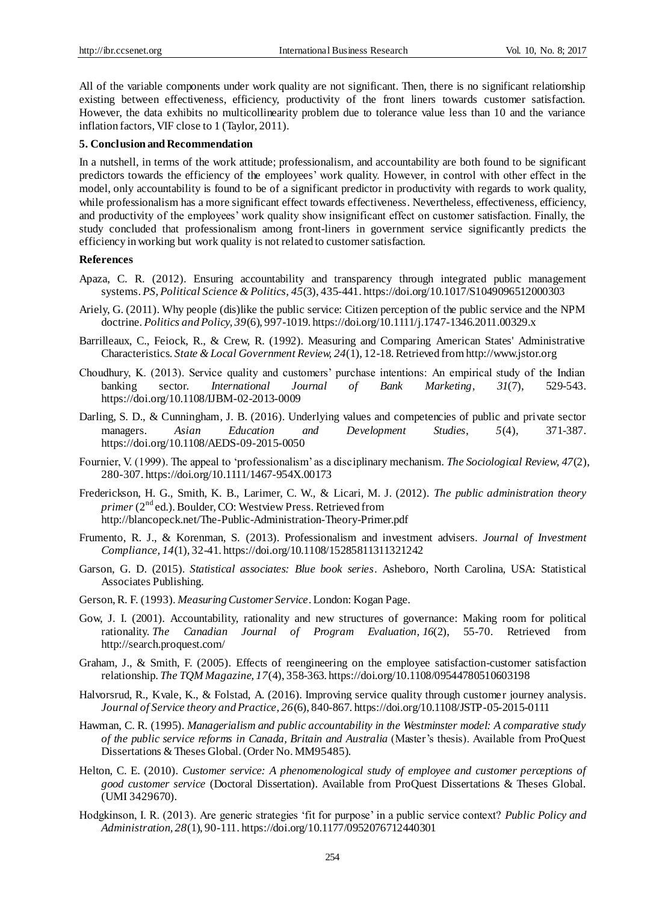All of the variable components under work quality are not significant. Then, there is no significant relationship existing between effectiveness, efficiency, productivity of the front liners towards customer satisfaction. However, the data exhibits no multicollinearity problem due to tolerance value less than 10 and the variance inflation factors, VIF close to 1 (Taylor, 2011).

#### **5. Conclusion and Recommendation**

In a nutshell, in terms of the work attitude; professionalism, and accountability are both found to be significant predictors towards the efficiency of the employees' work quality. However, in control with other effect in the model, only accountability is found to be of a significant predictor in productivity with regards to work quality, while professionalism has a more significant effect towards effectiveness. Nevertheless, effectiveness, efficiency, and productivity of the employees' work quality show insignificant effect on customer satisfaction. Finally, the study concluded that professionalism among front-liners in government service significantly predicts the efficiency in working but work quality is not related to customer satisfaction.

#### **References**

- Apaza, C. R. (2012). Ensuring accountability and transparency through integrated public management systems. *PS, Political Science & Politics, 45*(3), 435-441. https://doi.org/10.1017/S1049096512000303
- Ariely, G. (2011). Why people (dis)like the public service: Citizen perception of the public service and the NPM doctrine. *Politics and Policy, 39*(6), 997-1019. https://doi.org/10.1111/j.1747-1346.2011.00329.x
- Barrilleaux, C., Feiock, R., & Crew, R. (1992). Measuring and Comparing American States' Administrative Characteristics. *State & Local Government Review, 24*(1), 12-18. Retrieved from http://www.jstor.org
- Choudhury, K. (2013). Service quality and customers' purchase intentions: An empirical study of the Indian banking sector. *International Journal of Bank Marketing*, *31*(7), 529-543. https://doi.org/10.1108/IJBM-02-2013-0009
- Darling, S. D., & Cunningham, J. B. (2016). Underlying values and competencies of public and private sector managers. *Asian Education and Development Studies, 5*(4), 371-387. https://doi.org/10.1108/AEDS-09-2015-0050
- Fournier, V. (1999). The appeal to 'professionalism' as a disciplinary mechanism. *The Sociological Review, 47*(2), 280-307. https://doi.org/10.1111/1467-954X.00173
- Frederickson, H. G., Smith, K. B., Larimer, C. W., & Licari, M. J. (2012). *The public administration theory primer* (2<sup>nd</sup> ed.). Boulder, CO: Westview Press. Retrieved from http://blancopeck.net/The-Public-Administration-Theory-Primer.pdf
- Frumento, R. J., & Korenman, S. (2013). Professionalism and investment advisers. *Journal of Investment Compliance, 14*(1), 32-41. https://doi.org/10.1108/15285811311321242
- Garson, G. D. (2015). *Statistical associates: Blue book series*. Asheboro, North Carolina, USA: Statistical Associates Publishing.
- Gerson, R. F. (1993). *Measuring Customer Service*. London: Kogan Page.
- Gow, J. I. (2001). Accountability, rationality and new structures of governance: Making room for political rationality. *The Canadian Journal of Program Evaluation, 16*(2), 55-70. Retrieved from http://search.proquest.com/
- Graham, J., & Smith, F. (2005). Effects of reengineering on the employee satisfaction-customer satisfaction relationship. *The TQM Magazine, 17*(4), 358-363. https://doi.org/10.1108/09544780510603198
- Halvorsrud, R., Kvale, K., & Folstad, A. (2016). Improving service quality through customer journey analysis. *Journal of Service theory and Practice, 26*(6), 840-867. https://doi.org/10.1108/JSTP-05-2015-0111
- Hawman, C. R. (1995). *Managerialism and public accountability in the Westminster model: A comparative study of the public service reforms in Canada, Britain and Australia* (Master's thesis). Available from ProQuest Dissertations & Theses Global. (Order No. MM95485).
- Helton, C. E. (2010). *Customer service: A phenomenological study of employee and customer perceptions of good customer service* (Doctoral Dissertation). Available from ProQuest Dissertations & Theses Global. (UMI 3429670).
- Hodgkinson, I. R. (2013). Are generic strategies 'fit for purpose' in a public service context? *Public Policy and Administration, 28*(1), 90-111. https://doi.org/10.1177/0952076712440301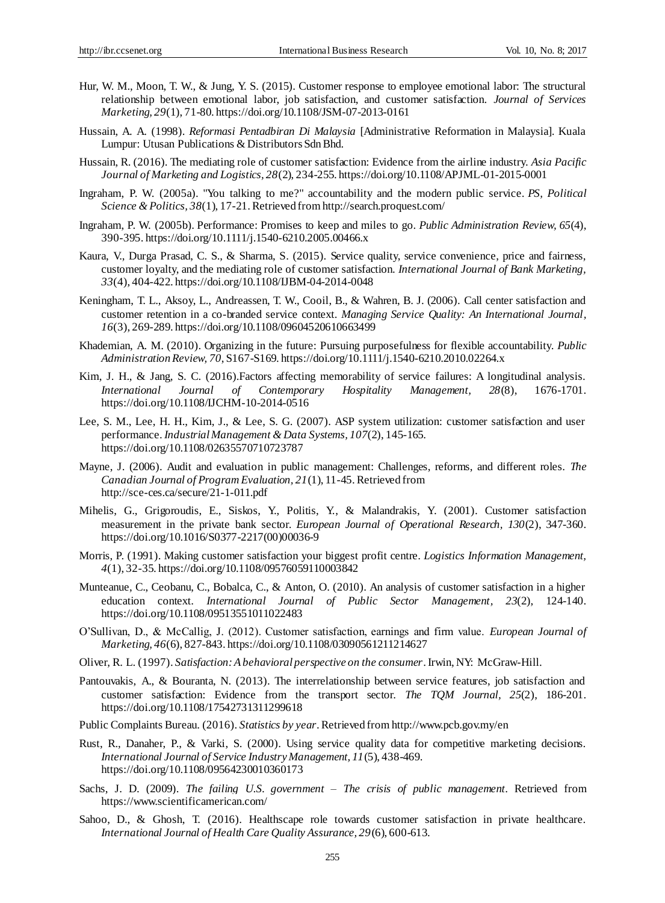- Hur, W. M., Moon, T. W., & Jung, Y. S. (2015). Customer response to employee emotional labor: The structural relationship between emotional labor, job satisfaction, and customer satisfaction. *Journal of Services Marketing, 29*(1), 71-80. https://doi.org/10.1108/JSM-07-2013-0161
- Hussain, A. A. (1998). *Reformasi Pentadbiran Di Malaysia* [Administrative Reformation in Malaysia]. Kuala Lumpur: Utusan Publications & Distributors Sdn Bhd.
- Hussain, R. (2016). The mediating role of customer satisfaction: Evidence from the airline industry. *Asia Pacific Journal of Marketing and Logistics, 28*(2), 234-255. https://doi.org/10.1108/APJML-01-2015-0001
- Ingraham, P. W. (2005a). "You talking to me?" accountability and the modern public service. *PS, Political Science & Politics, 38*(1), 17-21. Retrieved from http://search.proquest.com/
- Ingraham, P. W. (2005b). Performance: Promises to keep and miles to go. *Public Administration Review, 65*(4), 390-395. https://doi.org/10.1111/j.1540-6210.2005.00466.x
- Kaura, V., Durga Prasad, C. S., & Sharma, S. (2015). Service quality, service convenience, price and fairness, customer loyalty, and the mediating role of customer satisfaction. *International Journal of Bank Marketing, 33*(4), 404-422. https://doi.org/10.1108/IJBM-04-2014-0048
- Keningham, T. L., Aksoy, L., Andreassen, T. W., Cooil, B., & Wahren, B. J. (2006). Call center satisfaction and customer retention in a co-branded service context. *Managing Service Quality: An International Journal, 16*(3), 269-289. https://doi.org/10.1108/09604520610663499
- Khademian, A. M. (2010). Organizing in the future: Pursuing purposefulness for flexible accountability. *Public Administration Review, 70*, S167-S169. https://doi.org/10.1111/j.1540-6210.2010.02264.x
- Kim, J. H., & Jang, S. C. (2016).Factors affecting memorability of service failures: A longitudinal analysis. *International Journal of Contemporary Hospitality Management, 28*(8), 1676-1701. https://doi.org/10.1108/IJCHM-10-2014-0516
- Lee, S. M., Lee, H. H., Kim, J., & Lee, S. G. (2007). ASP system utilization: customer satisfaction and user performance. *Industrial Management & Data Systems, 107*(2), 145-165. https://doi.org/10.1108/02635570710723787
- Mayne, J. (2006). Audit and evaluation in public management: Challenges, reforms, and different roles. *The Canadian Journal of Program Evaluation, 21*(1), 11-45. Retrieved from http://sce-ces.ca/secure/21-1-011.pdf
- Mihelis, G., Grigoroudis, E., Siskos, Y., Politis, Y., & Malandrakis, Y. (2001). Customer satisfaction measurement in the private bank sector. *European Journal of Operational Research, 130*(2), 347-360. https://doi.org/10.1016/S0377-2217(00)00036-9
- Morris, P. (1991). Making customer satisfaction your biggest profit centre. *Logistics Information Management, 4*(1), 32-35. https://doi.org/10.1108/09576059110003842
- Munteanue, C., Ceobanu, C., Bobalca, C., & Anton, O. (2010). An analysis of customer satisfaction in a higher education context. *International Journal of Public Sector Management, 23*(2), 124-140. https://doi.org/10.1108/09513551011022483
- O'Sullivan, D., & McCallig, J. (2012). Customer satisfaction, earnings and firm value. *European Journal of Marketing, 46*(6), 827-843. https://doi.org/10.1108/03090561211214627
- Oliver, R. L. (1997). *Satisfaction: A behavioral perspective on the consumer*. Irwin, NY: McGraw-Hill.
- Pantouvakis, A., & Bouranta, N. (2013). The interrelationship between service features, job satisfaction and customer satisfaction: Evidence from the transport sector. *The TQM Journal, 25*(2), 186-201. https://doi.org/10.1108/17542731311299618
- Public Complaints Bureau. (2016). *Statistics by year*. Retrieved fro[m http://www.pcb.gov.my/en](http://www.pcb.gov.my/en)
- Rust, R., Danaher, P., & Varki, S. (2000). Using service quality data for competitive marketing decisions. *International Journal of Service Industry Management, 11*(5), 438-469. https://doi.org/10.1108/09564230010360173
- Sachs, J. D. (2009). *The failing U.S. government – The crisis of public management*. Retrieved from https://www.scientificamerican.com/
- Sahoo, D., & Ghosh, T. (2016). Healthscape role towards customer satisfaction in private healthcare. *International Journal of Health Care Quality Assurance, 29*(6), 600-613.